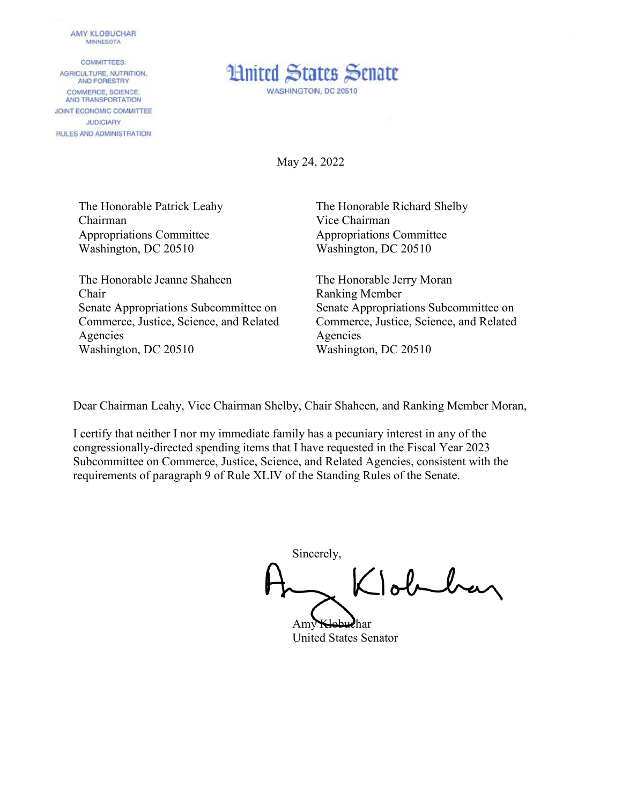## **AMY KLOBUCHAR MINNESOTA**

**COMMITTEES:** AGRICULTURE, NUTRITION, AND FORESTRY COMMERCE, SCIENCE. AND TRANSPORTATION JOINT ECONOMIC COMMITTEE **JUDICIARY** RULES AND ADMINISTRATION



May 24, 2022

The Honorable Patrick Leahy Chairman Appropriations Committee Washington, DC 20510

The Honorable Jeanne Shaheen Chair Senate Appropriations Subcommittee on Commerce, Justice, Science, and Related Agencies Washington, DC 20510

The Honorable Richard Shelby Vice Chairman Appropriations Committee Washington, DC 20510

The Honorable Jerry Moran Ranking Member Senate Appropriations Subcommittee on Commerce, Justice, Science, and Related Agencies Washington, DC 20510

Dear Chairman Leahy, Vice Chairman Shelby, Chair Shaheen, and Ranking Member Moran,

I certify that neither I nor my immediate family has a pecuniary interest in any of the congressionally-directed spending items that I have requested in the Fiscal Year 2023 Subcommittee on Commerce, Justice, Science, and Related Agencies, consistent with the requirements of paragraph 9 of Rule XLIV of the Standing Rules of the Senate.

Sincerely, Joblan

Amy Klobuchar United States Senator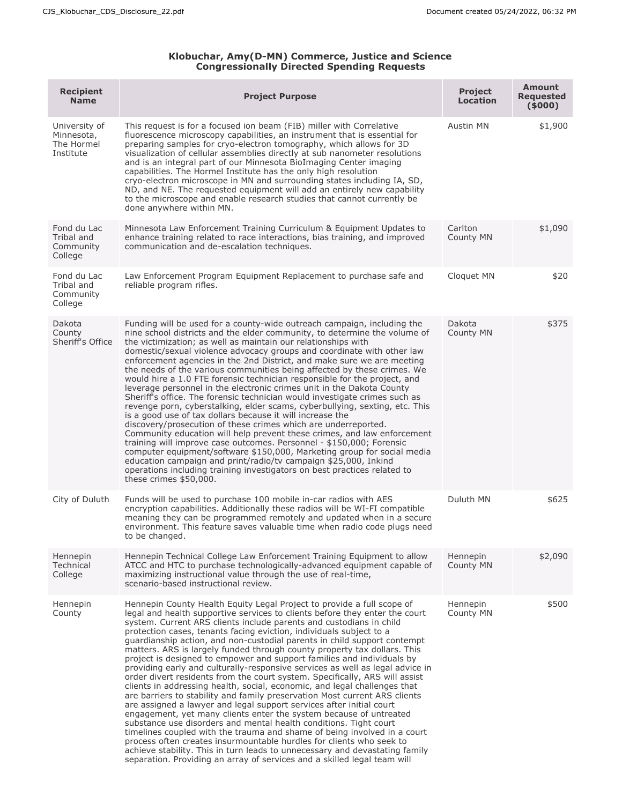## **Klobuchar, Amy(D-MN) Commerce, Justice and Science Congressionally Directed Spending Requests**

| <b>Recipient</b><br><b>Name</b>                        | <b>Project Purpose</b>                                                                                                                                                                                                                                                                                                                                                                                                                                                                                                                                                                                                                                                                                                                                                                                                                                                                                                                                                                                                                                                                                                                                                                                                                                                                                                                                                                             | <b>Project</b><br><b>Location</b> | <b>Amount</b><br><b>Requested</b><br>(5000) |
|--------------------------------------------------------|----------------------------------------------------------------------------------------------------------------------------------------------------------------------------------------------------------------------------------------------------------------------------------------------------------------------------------------------------------------------------------------------------------------------------------------------------------------------------------------------------------------------------------------------------------------------------------------------------------------------------------------------------------------------------------------------------------------------------------------------------------------------------------------------------------------------------------------------------------------------------------------------------------------------------------------------------------------------------------------------------------------------------------------------------------------------------------------------------------------------------------------------------------------------------------------------------------------------------------------------------------------------------------------------------------------------------------------------------------------------------------------------------|-----------------------------------|---------------------------------------------|
| University of<br>Minnesota,<br>The Hormel<br>Institute | This request is for a focused ion beam (FIB) miller with Correlative<br>fluorescence microscopy capabilities, an instrument that is essential for<br>preparing samples for cryo-electron tomography, which allows for 3D<br>visualization of cellular assemblies directly at sub nanometer resolutions<br>and is an integral part of our Minnesota BioImaging Center imaging<br>capabilities. The Hormel Institute has the only high resolution<br>cryo-electron microscope in MN and surrounding states including IA, SD,<br>ND, and NE. The requested equipment will add an entirely new capability<br>to the microscope and enable research studies that cannot currently be<br>done anywhere within MN.                                                                                                                                                                                                                                                                                                                                                                                                                                                                                                                                                                                                                                                                                        | Austin MN                         | \$1,900                                     |
| Fond du Lac<br>Tribal and<br>Community<br>College      | Minnesota Law Enforcement Training Curriculum & Equipment Updates to<br>enhance training related to race interactions, bias training, and improved<br>communication and de-escalation techniques.                                                                                                                                                                                                                                                                                                                                                                                                                                                                                                                                                                                                                                                                                                                                                                                                                                                                                                                                                                                                                                                                                                                                                                                                  | Carlton<br>County MN              | \$1,090                                     |
| Fond du Lac<br>Tribal and<br>Community<br>College      | Law Enforcement Program Equipment Replacement to purchase safe and<br>reliable program rifles.                                                                                                                                                                                                                                                                                                                                                                                                                                                                                                                                                                                                                                                                                                                                                                                                                                                                                                                                                                                                                                                                                                                                                                                                                                                                                                     | Cloquet MN                        | \$20                                        |
| Dakota<br>County<br>Sheriff's Office                   | Funding will be used for a county-wide outreach campaign, including the<br>nine school districts and the elder community, to determine the volume of<br>the victimization; as well as maintain our relationships with<br>domestic/sexual violence advocacy groups and coordinate with other law<br>enforcement agencies in the 2nd District, and make sure we are meeting<br>the needs of the various communities being affected by these crimes. We<br>would hire a 1.0 FTE forensic technician responsible for the project, and<br>leverage personnel in the electronic crimes unit in the Dakota County<br>Sheriff's office. The forensic technician would investigate crimes such as<br>revenge porn, cyberstalking, elder scams, cyberbullying, sexting, etc. This<br>is a good use of tax dollars because it will increase the<br>discovery/prosecution of these crimes which are underreported.<br>Community education will help prevent these crimes, and law enforcement<br>training will improve case outcomes. Personnel - \$150,000; Forensic<br>computer equipment/software \$150,000, Marketing group for social media<br>education campaign and print/radio/tv campaign \$25,000, Inkind<br>operations including training investigators on best practices related to<br>these crimes \$50,000.                                                                                      | Dakota<br>County MN               | \$375                                       |
| City of Duluth                                         | Funds will be used to purchase 100 mobile in-car radios with AES<br>encryption capabilities. Additionally these radios will be WI-FI compatible<br>meaning they can be programmed remotely and updated when in a secure<br>environment. This feature saves valuable time when radio code plugs need<br>to be changed.                                                                                                                                                                                                                                                                                                                                                                                                                                                                                                                                                                                                                                                                                                                                                                                                                                                                                                                                                                                                                                                                              | Duluth MN                         | \$625                                       |
| Hennepin<br>Technical<br>College                       | Hennepin Technical College Law Enforcement Training Equipment to allow<br>ATCC and HTC to purchase technologically-advanced equipment capable of<br>maximizing instructional value through the use of real-time,<br>scenario-based instructional review.                                                                                                                                                                                                                                                                                                                                                                                                                                                                                                                                                                                                                                                                                                                                                                                                                                                                                                                                                                                                                                                                                                                                           | Hennepin<br>County MN             | \$2,090                                     |
| Hennepin<br>County                                     | Hennepin County Health Equity Legal Project to provide a full scope of<br>legal and health supportive services to clients before they enter the court<br>system. Current ARS clients include parents and custodians in child<br>protection cases, tenants facing eviction, individuals subject to a<br>quardianship action, and non-custodial parents in child support contempt<br>matters. ARS is largely funded through county property tax dollars. This<br>project is designed to empower and support families and individuals by<br>providing early and culturally-responsive services as well as legal advice in<br>order divert residents from the court system. Specifically, ARS will assist<br>clients in addressing health, social, economic, and legal challenges that<br>are barriers to stability and family preservation Most current ARS clients<br>are assigned a lawyer and legal support services after initial court<br>engagement, yet many clients enter the system because of untreated<br>substance use disorders and mental health conditions. Tight court<br>timelines coupled with the trauma and shame of being involved in a court<br>process often creates insurmountable hurdles for clients who seek to<br>achieve stability. This in turn leads to unnecessary and devastating family<br>separation. Providing an array of services and a skilled legal team will | Hennepin<br>County MN             | \$500                                       |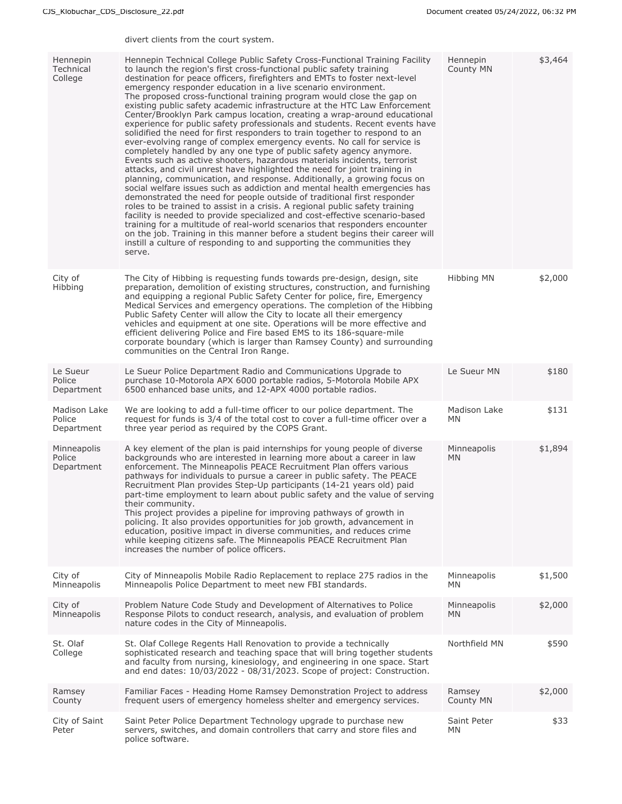divert clients from the court system.

| Hennepin<br>Technical<br>College     | Hennepin Technical College Public Safety Cross-Functional Training Facility<br>to launch the region's first cross-functional public safety training<br>destination for peace officers, firefighters and EMTs to foster next-level<br>emergency responder education in a live scenario environment.<br>The proposed cross-functional training program would close the gap on<br>existing public safety academic infrastructure at the HTC Law Enforcement<br>Center/Brooklyn Park campus location, creating a wrap-around educational<br>experience for public safety professionals and students. Recent events have<br>solidified the need for first responders to train together to respond to an<br>ever-evolving range of complex emergency events. No call for service is<br>completely handled by any one type of public safety agency anymore.<br>Events such as active shooters, hazardous materials incidents, terrorist<br>attacks, and civil unrest have highlighted the need for joint training in<br>planning, communication, and response. Additionally, a growing focus on<br>social welfare issues such as addiction and mental health emergencies has<br>demonstrated the need for people outside of traditional first responder<br>roles to be trained to assist in a crisis. A regional public safety training<br>facility is needed to provide specialized and cost-effective scenario-based<br>training for a multitude of real-world scenarios that responders encounter<br>on the job. Training in this manner before a student begins their career will<br>instill a culture of responding to and supporting the communities they<br>serve. | Hennepin<br>County MN    | \$3,464 |
|--------------------------------------|--------------------------------------------------------------------------------------------------------------------------------------------------------------------------------------------------------------------------------------------------------------------------------------------------------------------------------------------------------------------------------------------------------------------------------------------------------------------------------------------------------------------------------------------------------------------------------------------------------------------------------------------------------------------------------------------------------------------------------------------------------------------------------------------------------------------------------------------------------------------------------------------------------------------------------------------------------------------------------------------------------------------------------------------------------------------------------------------------------------------------------------------------------------------------------------------------------------------------------------------------------------------------------------------------------------------------------------------------------------------------------------------------------------------------------------------------------------------------------------------------------------------------------------------------------------------------------------------------------------------------------------------------------------------|--------------------------|---------|
| City of<br>Hibbing                   | The City of Hibbing is requesting funds towards pre-design, design, site<br>preparation, demolition of existing structures, construction, and furnishing<br>and equipping a regional Public Safety Center for police, fire, Emergency<br>Medical Services and emergency operations. The completion of the Hibbing<br>Public Safety Center will allow the City to locate all their emergency<br>vehicles and equipment at one site. Operations will be more effective and<br>efficient delivering Police and Fire based EMS to its 186-square-mile<br>corporate boundary (which is larger than Ramsey County) and surrounding<br>communities on the Central Iron Range.                                                                                                                                                                                                                                                                                                                                                                                                                                                                                                                                                                                                                                                                                                                                                                                                                                                                                                                                                                                             | Hibbing MN               | \$2,000 |
| Le Sueur<br>Police<br>Department     | Le Sueur Police Department Radio and Communications Upgrade to<br>purchase 10-Motorola APX 6000 portable radios, 5-Motorola Mobile APX<br>6500 enhanced base units, and 12-APX 4000 portable radios.                                                                                                                                                                                                                                                                                                                                                                                                                                                                                                                                                                                                                                                                                                                                                                                                                                                                                                                                                                                                                                                                                                                                                                                                                                                                                                                                                                                                                                                               | Le Sueur MN              | \$180   |
| Madison Lake<br>Police<br>Department | We are looking to add a full-time officer to our police department. The<br>request for funds is 3/4 of the total cost to cover a full-time officer over a<br>three year period as required by the COPS Grant.                                                                                                                                                                                                                                                                                                                                                                                                                                                                                                                                                                                                                                                                                                                                                                                                                                                                                                                                                                                                                                                                                                                                                                                                                                                                                                                                                                                                                                                      | Madison Lake<br>MN       | \$131   |
| Minneapolis<br>Police<br>Department  | A key element of the plan is paid internships for young people of diverse<br>backgrounds who are interested in learning more about a career in law<br>enforcement. The Minneapolis PEACE Recruitment Plan offers various<br>pathways for individuals to pursue a career in public safety. The PEACE<br>Recruitment Plan provides Step-Up participants (14-21 years old) paid<br>part-time employment to learn about public safety and the value of serving<br>their community.<br>This project provides a pipeline for improving pathways of growth in<br>policing. It also provides opportunities for job growth, advancement in<br>education, positive impact in diverse communities, and reduces crime<br>while keeping citizens safe. The Minneapolis PEACE Recruitment Plan<br>increases the number of police officers.                                                                                                                                                                                                                                                                                                                                                                                                                                                                                                                                                                                                                                                                                                                                                                                                                                       | Minneapolis<br><b>MN</b> | \$1,894 |
| City of<br>Minneapolis               | City of Minneapolis Mobile Radio Replacement to replace 275 radios in the<br>Minneapolis Police Department to meet new FBI standards.                                                                                                                                                                                                                                                                                                                                                                                                                                                                                                                                                                                                                                                                                                                                                                                                                                                                                                                                                                                                                                                                                                                                                                                                                                                                                                                                                                                                                                                                                                                              | Minneapolis<br><b>MN</b> | \$1,500 |
| City of<br>Minneapolis               | Problem Nature Code Study and Development of Alternatives to Police<br>Response Pilots to conduct research, analysis, and evaluation of problem<br>nature codes in the City of Minneapolis.                                                                                                                                                                                                                                                                                                                                                                                                                                                                                                                                                                                                                                                                                                                                                                                                                                                                                                                                                                                                                                                                                                                                                                                                                                                                                                                                                                                                                                                                        | Minneapolis<br>MN.       | \$2,000 |
| St. Olaf<br>College                  | St. Olaf College Regents Hall Renovation to provide a technically<br>sophisticated research and teaching space that will bring together students<br>and faculty from nursing, kinesiology, and engineering in one space. Start<br>and end dates: 10/03/2022 - 08/31/2023. Scope of project: Construction.                                                                                                                                                                                                                                                                                                                                                                                                                                                                                                                                                                                                                                                                                                                                                                                                                                                                                                                                                                                                                                                                                                                                                                                                                                                                                                                                                          | Northfield MN            | \$590   |
| Ramsey<br>County                     | Familiar Faces - Heading Home Ramsey Demonstration Project to address<br>frequent users of emergency homeless shelter and emergency services.                                                                                                                                                                                                                                                                                                                                                                                                                                                                                                                                                                                                                                                                                                                                                                                                                                                                                                                                                                                                                                                                                                                                                                                                                                                                                                                                                                                                                                                                                                                      | Ramsey<br>County MN      | \$2,000 |
| City of Saint<br>Peter               | Saint Peter Police Department Technology upgrade to purchase new<br>servers, switches, and domain controllers that carry and store files and<br>police software.                                                                                                                                                                                                                                                                                                                                                                                                                                                                                                                                                                                                                                                                                                                                                                                                                                                                                                                                                                                                                                                                                                                                                                                                                                                                                                                                                                                                                                                                                                   | Saint Peter<br>ΜN        | \$33    |